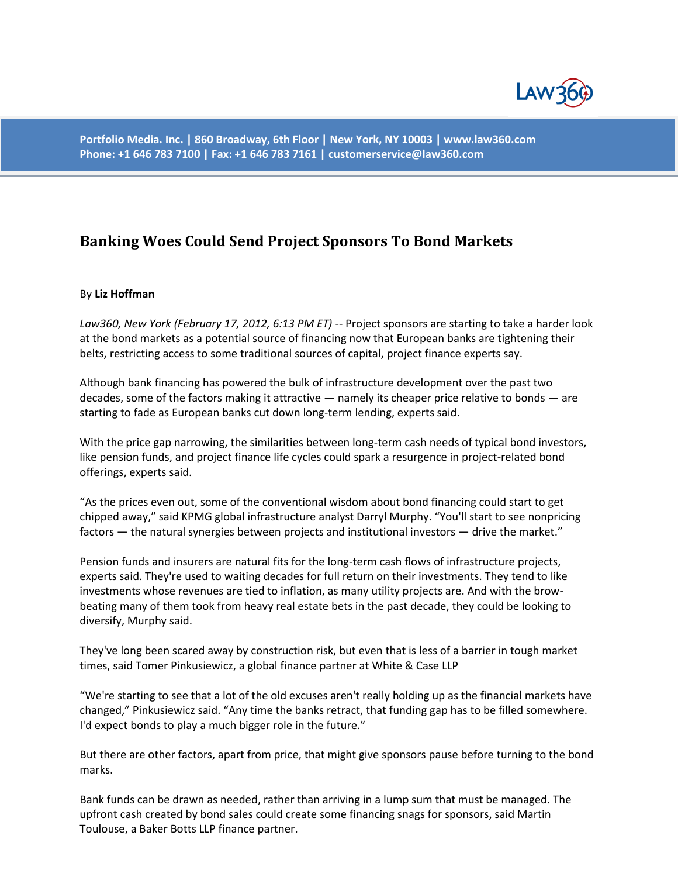

**Portfolio Media. Inc. | 860 Broadway, 6th Floor | New York, NY 10003 | www.law360.com Phone: +1 646 783 7100 | Fax: +1 646 783 7161 [| customerservice@law360.com](mailto:customerservice@law360.com)**

## **Banking Woes Could Send Project Sponsors To Bond Markets**

## By **Liz Hoffman**

*Law360, New York (February 17, 2012, 6:13 PM ET)* -- Project sponsors are starting to take a harder look at the bond markets as a potential source of financing now that European banks are tightening their belts, restricting access to some traditional sources of capital, project finance experts say.

Although bank financing has powered the bulk of infrastructure development over the past two decades, some of the factors making it attractive — namely its cheaper price relative to bonds — are starting to fade as European banks cut down long-term lending, experts said.

With the price gap narrowing, the similarities between long-term cash needs of typical bond investors, like pension funds, and project finance life cycles could spark a resurgence in project-related bond offerings, experts said.

"As the prices even out, some of the conventional wisdom about bond financing could start to get chipped away," said KPMG global infrastructure analyst Darryl Murphy. "You'll start to see nonpricing factors — the natural synergies between projects and institutional investors — drive the market."

Pension funds and insurers are natural fits for the long-term cash flows of infrastructure projects, experts said. They're used to waiting decades for full return on their investments. They tend to like investments whose revenues are tied to inflation, as many utility projects are. And with the browbeating many of them took from heavy real estate bets in the past decade, they could be looking to diversify, Murphy said.

They've long been scared away by construction risk, but even that is less of a barrier in tough market times, said Tomer Pinkusiewicz, a global finance partner at White & Case LLP

"We're starting to see that a lot of the old excuses aren't really holding up as the financial markets have changed," Pinkusiewicz said. "Any time the banks retract, that funding gap has to be filled somewhere. I'd expect bonds to play a much bigger role in the future."

But there are other factors, apart from price, that might give sponsors pause before turning to the bond marks.

Bank funds can be drawn as needed, rather than arriving in a lump sum that must be managed. The upfront cash created by bond sales could create some financing snags for sponsors, said Martin Toulouse, a Baker Botts LLP finance partner.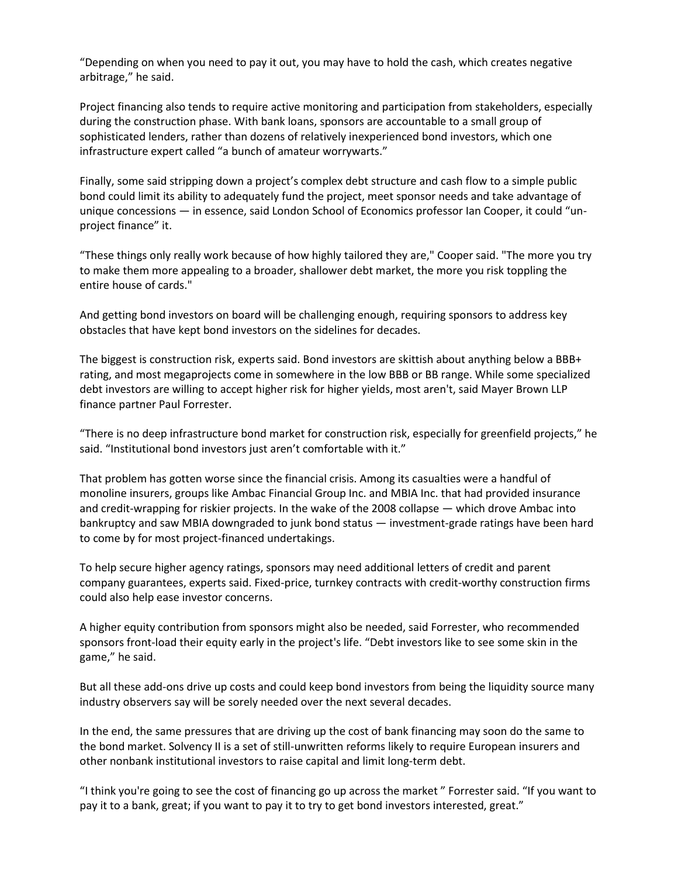"Depending on when you need to pay it out, you may have to hold the cash, which creates negative arbitrage," he said.

Project financing also tends to require active monitoring and participation from stakeholders, especially during the construction phase. With bank loans, sponsors are accountable to a small group of sophisticated lenders, rather than dozens of relatively inexperienced bond investors, which one infrastructure expert called "a bunch of amateur worrywarts."

Finally, some said stripping down a project's complex debt structure and cash flow to a simple public bond could limit its ability to adequately fund the project, meet sponsor needs and take advantage of unique concessions — in essence, said London School of Economics professor Ian Cooper, it could "unproject finance" it.

"These things only really work because of how highly tailored they are," Cooper said. "The more you try to make them more appealing to a broader, shallower debt market, the more you risk toppling the entire house of cards."

And getting bond investors on board will be challenging enough, requiring sponsors to address key obstacles that have kept bond investors on the sidelines for decades.

The biggest is construction risk, experts said. Bond investors are skittish about anything below a BBB+ rating, and most megaprojects come in somewhere in the low BBB or BB range. While some specialized debt investors are willing to accept higher risk for higher yields, most aren't, said Mayer Brown LLP finance partner Paul Forrester.

"There is no deep infrastructure bond market for construction risk, especially for greenfield projects," he said. "Institutional bond investors just aren't comfortable with it."

That problem has gotten worse since the financial crisis. Among its casualties were a handful of monoline insurers, groups like Ambac Financial Group Inc. and MBIA Inc. that had provided insurance and credit-wrapping for riskier projects. In the wake of the 2008 collapse — which drove Ambac into bankruptcy and saw MBIA downgraded to junk bond status — investment-grade ratings have been hard to come by for most project-financed undertakings.

To help secure higher agency ratings, sponsors may need additional letters of credit and parent company guarantees, experts said. Fixed-price, turnkey contracts with credit-worthy construction firms could also help ease investor concerns.

A higher equity contribution from sponsors might also be needed, said Forrester, who recommended sponsors front-load their equity early in the project's life. "Debt investors like to see some skin in the game," he said.

But all these add-ons drive up costs and could keep bond investors from being the liquidity source many industry observers say will be sorely needed over the next several decades.

In the end, the same pressures that are driving up the cost of bank financing may soon do the same to the bond market. Solvency II is a set of still-unwritten reforms likely to require European insurers and other nonbank institutional investors to raise capital and limit long-term debt.

"I think you're going to see the cost of financing go up across the market " Forrester said. "If you want to pay it to a bank, great; if you want to pay it to try to get bond investors interested, great."